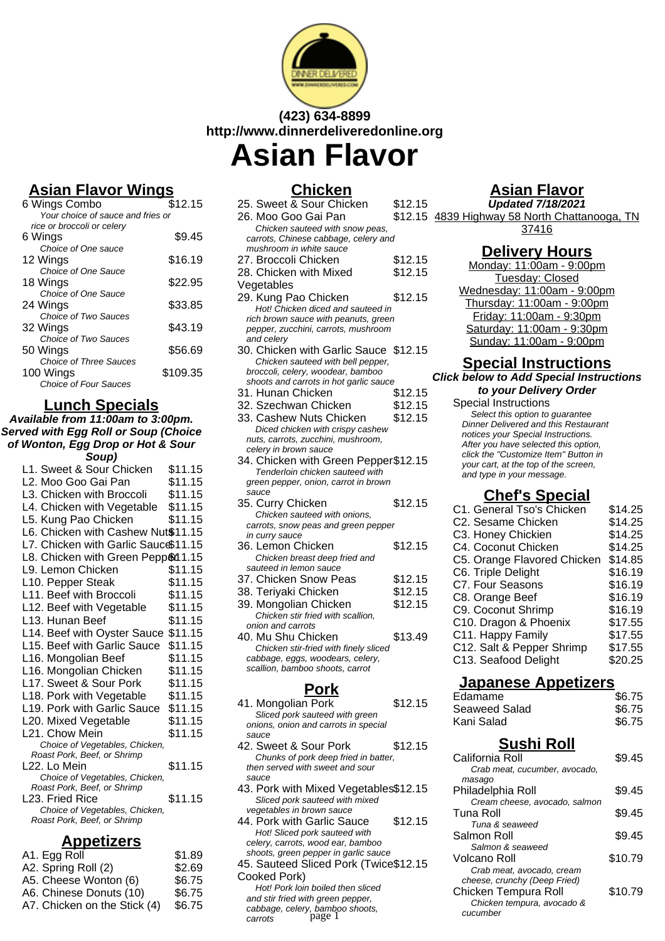

# **(423) 634-8899 http://www.dinnerdeliveredonline.org**

# **Asian Flavor**

# **Asian Flavor Wings**

| 6 Wings Combo                     | \$12.15  |
|-----------------------------------|----------|
| Your choice of sauce and fries or |          |
| rice or broccoli or celery        |          |
| 6 Wings                           | \$9.45   |
| Choice of One sauce               |          |
| 12 Wings                          | \$16.19  |
| Choice of One Sauce               |          |
| 18 Wings                          | \$22.95  |
| Choice of One Sauce               |          |
| 24 Wings                          | \$33.85  |
| Choice of Two Sauces              |          |
| 32 Wings                          | \$43.19  |
| Choice of Two Sauces              |          |
| 50 Wings                          | \$56.69  |
| <b>Choice of Three Sauces</b>     |          |
| 100 Wings                         | \$109.35 |
| Choice of Four Sauces             |          |

#### **Lunch Specials**

**Available from 11:00am to 3:00pm. Served with Egg Roll or Soup (Choice of Wonton, Egg Drop or Hot & Sour Soup)**

| <i><b>OUUP</b></i>                             |         |
|------------------------------------------------|---------|
| L1. Sweet & Sour Chicken                       | \$11.15 |
| L2. Moo Goo Gai Pan                            | \$11.15 |
| L3. Chicken with Broccoli                      | \$11.15 |
| L4. Chicken with Vegetable                     | \$11.15 |
| L5. Kung Pao Chicken                           | \$11.15 |
| L6. Chicken with Cashew Nut\$11.15             |         |
| L7. Chicken with Garlic Sauce\$11.15           |         |
| L8. Chicken with Green Pepp&11.15              |         |
| L9. Lemon Chicken                              | \$11.15 |
| L10. Pepper Steak                              | \$11.15 |
| L11. Beef with Broccoli                        | \$11.15 |
| L12. Beef with Vegetable                       | \$11.15 |
| L13. Hunan Beef                                | \$11.15 |
| L14. Beef with Oyster Sauce                    | \$11.15 |
| L15. Beef with Garlic Sauce                    | \$11.15 |
| L16. Mongolian Beef                            | \$11.15 |
| L16. Mongolian Chicken                         | \$11.15 |
| L17. Sweet & Sour Pork                         | \$11.15 |
| L18. Pork with Vegetable                       | \$11.15 |
| L19. Pork with Garlic Sauce                    | \$11.15 |
| L20. Mixed Vegetable                           | \$11.15 |
| L21. Chow Mein                                 | \$11.15 |
| Choice of Vegetables, Chicken,                 |         |
| Roast Pork, Beef, or Shrimp                    |         |
| L22. Lo Mein                                   | \$11.15 |
| Choice of Vegetables, Chicken,                 |         |
| Roast Pork, Beef, or Shrimp<br>L23. Fried Rice | \$11.15 |
| Choice of Vegetables, Chicken,                 |         |
| Roast Pork, Beef, or Shrimp                    |         |
|                                                |         |
| <u>Appetizers</u>                              |         |
|                                                |         |

| A1. Egg Roll                 | \$1.89 |
|------------------------------|--------|
| A2. Spring Roll (2)          | \$2.69 |
| A5. Cheese Wonton (6)        | \$6.75 |
| A6. Chinese Donuts (10)      | \$6.75 |
| A7. Chicken on the Stick (4) | \$6.75 |
|                              |        |

| Chicken                                                             |         |
|---------------------------------------------------------------------|---------|
| 25. Sweet & Sour Chicken                                            | \$12.15 |
| 26. Moo Goo Gai Pan                                                 | \$12.15 |
| Chicken sauteed with snow peas,                                     |         |
| carrots, Chinese cabbage, celery and                                |         |
| mushroom in white sauce                                             |         |
| 27. Broccoli Chicken                                                | \$12.15 |
| 28. Chicken with Mixed                                              | \$12.15 |
| Vegetables                                                          |         |
| 29. Kung Pao Chicken                                                | \$12.15 |
| Hot! Chicken diced and sauteed in                                   |         |
| rich brown sauce with peanuts, green                                |         |
| pepper, zucchini, carrots, mushroom                                 |         |
| and celery<br>30. Chicken with Garlic Sauce                         | \$12.15 |
| Chicken sauteed with bell pepper,                                   |         |
| broccoli, celery, woodear, bamboo                                   |         |
| shoots and carrots in hot garlic sauce                              |         |
| 31. Hunan Chicken                                                   | \$12.15 |
| 32. Szechwan Chicken                                                | \$12.15 |
| 33. Cashew Nuts Chicken                                             | \$12.15 |
| Diced chicken with crispy cashew                                    |         |
| nuts, carrots, zucchini, mushroom,                                  |         |
| celery in brown sauce                                               |         |
| 34. Chicken with Green Pepper\$12.15                                |         |
| Tenderloin chicken sauteed with                                     |         |
| green pepper, onion, carrot in brown                                |         |
| sauce<br>35. Curry Chicken                                          | \$12.15 |
| Chicken sauteed with onions.                                        |         |
| carrots, snow peas and green pepper                                 |         |
| in curry sauce                                                      |         |
| 36. Lemon Chicken                                                   | \$12.15 |
| Chicken breast deep fried and                                       |         |
| sauteed in lemon sauce                                              |         |
| 37. Chicken Snow Peas                                               | \$12.15 |
| 38. Teriyaki Chicken                                                | \$12.15 |
| 39. Mongolian Chicken                                               | \$12.15 |
| Chicken stir fried with scallion.                                   |         |
| onion and carrots                                                   |         |
| 40. Mu Shu Chicken                                                  | \$13.49 |
| Chicken stir-fried with finely sliced                               |         |
| cabbage, eggs, woodears, celery,<br>scallion, bamboo shoots, carrot |         |
|                                                                     |         |

# **Pork**

- 41. Mongolian Pork \$12.15 Sliced pork sauteed with green onions, onion and carrots in special sauce
- 42. Sweet & Sour Pork \$12.15 Chunks of pork deep fried in batter, then served with sweet and sour sauce
- 43. Pork with Mixed Vegetables\$12.15 Sliced pork sauteed with mixed vegetables in brown sauce
- 44. Pork with Garlic Sauce \$12.15 Hot! Sliced pork sauteed with celery, carrots, wood ear, bamboo shoots, green pepper in garlic sauce
- 45. Sauteed Sliced Pork (Twice \$12.15 Cooked Pork)

Hot! Pork loin boiled then sliced and stir fried with green pepper, cabbage, celery, bamboo shoots,<br>carrots bage 1 cucumber carrots

# **Asian Flavor**

**Updated 7/18/2021** 4839 Highway 58 North Chattanooga, TN 37416

### **Delivery Hours**

Monday: 11:00am - 9:00pm Tuesday: Closed Wednesday: 11:00am - 9:00pm Thursday: 11:00am - 9:00pm Friday: 11:00am - 9:30pm Saturday: 11:00am - 9:30pm Sunday: 11:00am - 9:00pm

## **Special Instructions**

**Click below to Add Special Instructions to your Delivery Order**

Special Instructions

Select this option to quarantee Dinner Delivered and this Restaurant notices your Special Instructions. After you have selected this option, click the "Customize Item" Button in your cart, at the top of the screen, and type in your message.

# **Chef's Special**

| C1. General Tso's Chicken   | \$14.25 |
|-----------------------------|---------|
| C2. Sesame Chicken          | \$14.25 |
| C3. Honey Chickien          | \$14.25 |
| C4. Coconut Chicken         | \$14.25 |
| C5. Orange Flavored Chicken | \$14.85 |
| C6. Triple Delight          | \$16.19 |
| <b>C7. Four Seasons</b>     | \$16.19 |
| C8. Orange Beef             | \$16.19 |
| C9. Coconut Shrimp          | \$16.19 |
| C10. Dragon & Phoenix       | \$17.55 |
| C11. Happy Family           | \$17.55 |
| C12. Salt & Pepper Shrimp   | \$17.55 |
| C13. Seafood Delight        | \$20.25 |
|                             |         |

#### **Japanese Appetizers**

| Edamame<br>Seaweed Salad | \$6.75<br>\$6.75 |
|--------------------------|------------------|
| Kani Salad               | \$6.75           |
| <b>Sushi Roll</b>        |                  |

| California Roll               | \$9.45  |
|-------------------------------|---------|
| Crab meat, cucumber, avocado, |         |
| masaqo                        |         |
| Philadelphia Roll             | \$9.45  |
| Cream cheese, avocado, salmon |         |
| Tuna Roll                     | \$9.45  |
| Tuna & seaweed                |         |
| Salmon Roll                   | \$9.45  |
| Salmon & seaweed              |         |
| Volcano Roll                  | \$10.79 |
| Crab meat, avocado, cream     |         |
| cheese, crunchy (Deep Fried)  |         |
| Chicken Tempura Roll          | \$10.79 |
| Chicken tempura, avocado &    |         |
| cucumber                      |         |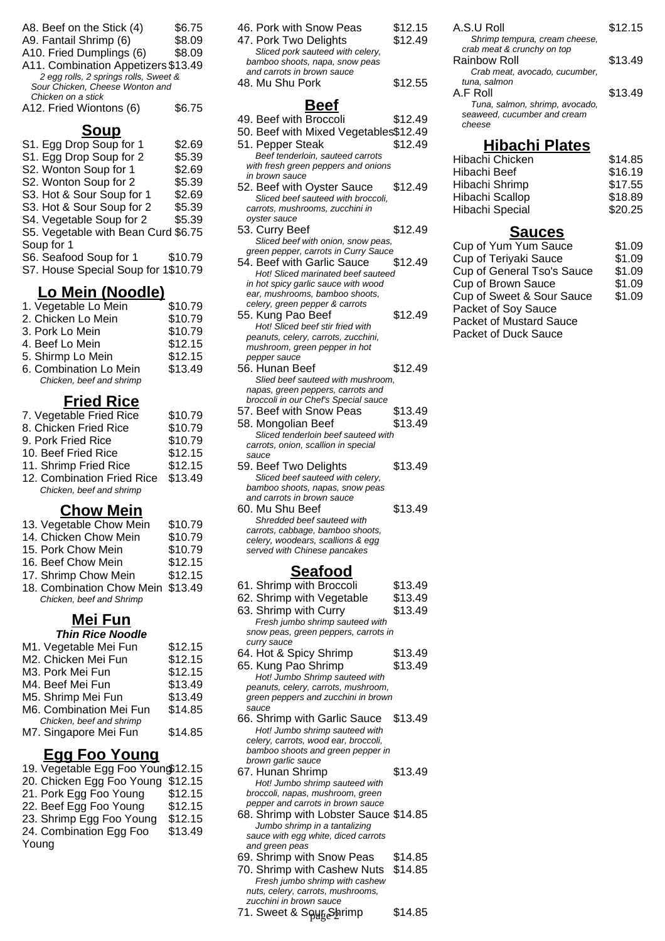| A8. Beef on the Stick (4)             | \$6.75 |
|---------------------------------------|--------|
| A9. Fantail Shrimp (6)                | \$8.09 |
| A10. Fried Dumplings (6)              | \$8.09 |
| A11. Combination Appetizers \$13.49   |        |
| 2 egg rolls, 2 springs rolls, Sweet & |        |
| Sour Chicken, Cheese Wonton and       |        |
| Chicken on a stick                    |        |
| A12. Fried Wiontons (6)               | \$6.75 |

|  | A1Z. Fried Wiontons (6) |  |
|--|-------------------------|--|
|  |                         |  |

#### **Soup**

| S1. Egg Drop Soup for 1                  | \$2.69  |
|------------------------------------------|---------|
| S1. Egg Drop Soup for 2                  | \$5.39  |
| S2. Wonton Soup for 1                    | \$2.69  |
| S2. Wonton Soup for 2                    | \$5.39  |
| S3. Hot & Sour Soup for 1                | \$2.69  |
| S3. Hot & Sour Soup for 2                | \$5.39  |
| S4. Vegetable Soup for 2                 | \$5.39  |
| S5. Vegetable with Bean Curd \$6.75      |         |
| Soup for 1                               |         |
| S6. Seafood Soup for 1                   | \$10.79 |
| S7. House Special Soup for 1\$10.79      |         |
|                                          |         |
|                                          |         |
| Lo Mein (Noodle)<br>1. Vegetable Lo Mein | \$10.79 |

| <b>1. Vegetable LO Melli</b> | <b>এ।∪.</b> 7 |
|------------------------------|---------------|
| 2. Chicken Lo Mein           | \$10.79       |
| 3. Pork Lo Mein              | \$10.79       |
| 4. Beef Lo Mein              | \$12.15       |
| 5. Shirmp Lo Mein            | \$12.15       |
| 6. Combination Lo Mein       | \$13.49       |
| Chicken, beef and shrimp     |               |
|                              |               |

#### **Fried Rice**

| 7. Vegetable Fried Rice    | \$10.79 |
|----------------------------|---------|
| 8. Chicken Fried Rice      | \$10.79 |
| 9. Pork Fried Rice         | \$10.79 |
| 10. Beef Fried Rice        | \$12.15 |
| 11. Shrimp Fried Rice      | \$12.15 |
| 12. Combination Fried Rice | \$13.49 |
| Chicken, beef and shrimp   |         |
|                            |         |

#### **Chow Mein**

|  |  | 13. Vegetable Chow Mein |  |  | \$10.79 |
|--|--|-------------------------|--|--|---------|
|--|--|-------------------------|--|--|---------|

| 14. Chicken Chow Mein | \$10.79 |
|-----------------------|---------|
|-----------------------|---------|

- 15. Pork Chow Mein \$10.79
- 16. Beef Chow Mein \$12.15
- 17. Shrimp Chow Mein \$12.15
- 18. Combination Chow Mein \$13.49 Chicken, beef and Shrimp

#### **Mei Fun Thin Rice Noodle**

| M1. Vegetable Mei Fun    | \$12.15 |
|--------------------------|---------|
| M2. Chicken Mei Fun      | \$12.15 |
| M3. Pork Mei Fun         | \$12.15 |
| M4. Beef Mei Fun         | \$13.49 |
| M5. Shrimp Mei Fun       | \$13.49 |
| M6. Combination Mei Fun  | \$14.85 |
| Chicken, beef and shrimp |         |
| M7. Singapore Mei Fun    | \$14.85 |
|                          |         |

#### **Egg Foo Young**

| 19. Vegetable Egg Foo Youno\$12.15 |         |
|------------------------------------|---------|
| 20. Chicken Egg Foo Young          | \$12.15 |
| 21. Pork Egg Foo Young             | \$12.15 |
| 22. Beef Egg Foo Young             | \$12.15 |
| 23. Shrimp Egg Foo Young           | \$12.15 |
| 24. Combination Egg Foo            | \$13.49 |
| Young                              |         |
|                                    |         |

| 46. Pork with Snow Peas          | \$12.15 |
|----------------------------------|---------|
| 47. Pork Two Delights            | \$12.49 |
| Sliced pork sauteed with celery, |         |
| bamboo shoots, napa, snow peas   |         |
| and carrots in brown sauce       |         |
| 48. Mu Shu Pork                  | \$12.55 |
|                                  |         |

#### **Beef**

- 49. Beef with Broccoli \$12.49
- 50. Beef with Mixed Vegetables\$12.49
- 51. Pepper Steak \$12.49 Beef tenderloin, sauteed carrots with fresh green peppers and onions in brown sauce 52. Beef with Oyster Sauce \$12.49 Sliced beef sauteed with broccoli, carrots, mushrooms, zucchini in oyster sauce
- 53. Curry Beef \$12.49 Sliced beef with onion, snow peas, green pepper, carrots in Curry Sauce 54. Beef with Garlic Sauce \$12.49
- Hot! Sliced marinated beef sauteed in hot spicy garlic sauce with wood ear, mushrooms, bamboo shoots, celery, green pepper & carrots 55. Kung Pao Beef \$12.49
- Hot! Sliced beef stir fried with peanuts, celery, carrots, zucchini, mushroom, green pepper in hot pepper sauce 56. Hunan Beef \$12.49 Slied beef sauteed with mushroom,
- napas, green peppers, carrots and broccoli in our Chef's Special sauce 57. Beef with Snow Peas \$13.49 58. Mongolian Beef \$13.49
- Sliced tenderloin beef sauteed with carrots, onion, scallion in special sauce
- 59. Beef Two Delights \$13.49 Sliced beef sauteed with celery, bamboo shoots, napas, snow peas and carrots in brown sauce 60. Mu Shu Beef \$13.49
- Shredded beef sauteed with carrots, cabbage, bamboo shoots, celery, woodears, scallions & egg served with Chinese pancakes

#### **Seafood**

| 61. Shrimp with Broccoli                                           | \$13.49 |
|--------------------------------------------------------------------|---------|
| 62. Shrimp with Vegetable                                          | \$13.49 |
| 63. Shrimp with Curry                                              | \$13.49 |
| Fresh jumbo shrimp sauteed with                                    |         |
| snow peas, green peppers, carrots in                               |         |
| curry sauce                                                        |         |
| 64. Hot & Spicy Shrimp                                             | \$13.49 |
| 65. Kung Pao Shrimp                                                | \$13.49 |
| Hot! Jumbo Shrimp sauteed with                                     |         |
| peanuts, celery, carrots, mushroom,                                |         |
| green peppers and zucchini in brown                                |         |
| sauce                                                              |         |
| 66. Shrimp with Garlic Sauce                                       | \$13.49 |
| Hot! Jumbo shrimp sauteed with                                     |         |
| celery, carrots, wood ear, broccoli,                               |         |
| bamboo shoots and green pepper in                                  |         |
| brown garlic sauce<br>67. Hunan Shrimp                             | \$13.49 |
|                                                                    |         |
| Hot! Jumbo shrimp sauteed with<br>broccoli, napas, mushroom, green |         |
| pepper and carrots in brown sauce                                  |         |
| 68. Shrimp with Lobster Sauce \$14.85                              |         |
| Jumbo shrimp in a tantalizing                                      |         |
| sauce with egg white, diced carrots                                |         |
| and green peas                                                     |         |
| 69. Shrimp with Snow Peas                                          | \$14.85 |

70. Shrimp with Cashew Nuts \$14.85 Fresh jumbo shrimp with cashew nuts, celery, carrots, mushrooms, zucchini in brown sauce 71. Sweet & Soug Shrimp \$14.85 A.S.U Roll \$12.15 Shrimp tempura, cream cheese, crab meat & crunchy on top Rainbow Roll \$13.49 Crab meat, avocado, cucumber, tuna, salmon A.F Roll \$13.49 Tuna, salmon, shrimp, avocado, seaweed, cucumber and cream cheese

#### **Hibachi Plates**

| Hibachi Chicken | \$14.85 |
|-----------------|---------|
| Hibachi Beef    | \$16.19 |
| Hibachi Shrimp  | \$17.55 |
| Hibachi Scallop | \$18.89 |
| Hibachi Special | \$20.25 |

#### **Sauces**

| Cup of Yum Yum Sauce           | \$1.09 |
|--------------------------------|--------|
| Cup of Teriyaki Sauce          | \$1.09 |
| Cup of General Tso's Sauce     | \$1.09 |
| Cup of Brown Sauce             | \$1.09 |
| Cup of Sweet & Sour Sauce      | \$1.09 |
| Packet of Soy Sauce            |        |
| <b>Packet of Mustard Sauce</b> |        |
| Packet of Duck Sauce           |        |